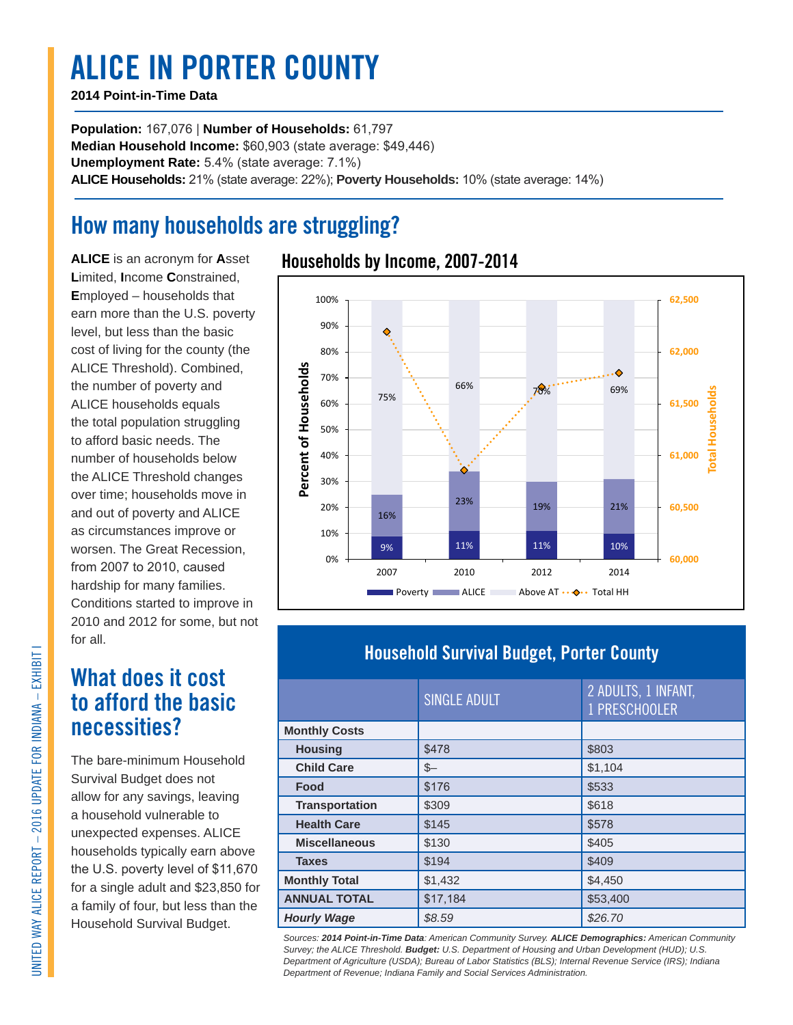# **ALICE IN PORTER COUNTY**

#### **2014 Point-in-Time Data**

**Population:** 167,076 | **Number of Households:** 61,797 **Median Household Income:** \$60,903 (state average: \$49,446) **Unemployment Rate:** 5.4% (state average: 7.1%) **ALICE Households:** 21% (state average: 22%); **Poverty Households:** 10% (state average: 14%)

### **How many households are struggling?**

**ALICE** is an acronym for **A**sset **L**imited, **I**ncome **C**onstrained, **E**mployed – households that earn more than the U.S. poverty level, but less than the basic cost of living for the county (the ALICE Threshold). Combined, the number of poverty and ALICE households equals the total population struggling to afford basic needs. The number of households below the ALICE Threshold changes over time; households move in and out of poverty and ALICE as circumstances improve or worsen. The Great Recession, from 2007 to 2010, caused hardship for many families. Conditions started to improve in 2010 and 2012 for some, but not for all.

### **What does it cost to afford the basic necessities?**

The bare-minimum Household Survival Budget does not allow for any savings, leaving a household vulnerable to unexpected expenses. ALICE households typically earn above the U.S. poverty level of \$11,670 for a single adult and \$23,850 for a family of four, but less than the Household Survival Budget.

### **Households by Income, 2007-2014**



### **Household Survival Budget, Porter County**

|                       | SINGLE ADULT | 2 ADULTS, 1 INFANT,<br>1 PRESCHOOLER |  |
|-----------------------|--------------|--------------------------------------|--|
| <b>Monthly Costs</b>  |              |                                      |  |
| <b>Housing</b>        | \$478        | \$803                                |  |
| <b>Child Care</b>     | $S-$         | \$1,104                              |  |
| Food                  | \$176        | \$533                                |  |
| <b>Transportation</b> | \$309        | \$618                                |  |
| <b>Health Care</b>    | \$145        | \$578                                |  |
| <b>Miscellaneous</b>  | \$130        | \$405                                |  |
| <b>Taxes</b>          | \$194        | \$409                                |  |
| <b>Monthly Total</b>  | \$1,432      | \$4,450                              |  |
| <b>ANNUAL TOTAL</b>   | \$17.184     | \$53,400                             |  |
| <b>Hourly Wage</b>    | \$8.59       | \$26.70                              |  |

*Sources: 2014 Point-in-Time Data: American Community Survey. ALICE Demographics: American Community Survey; the ALICE Threshold. Budget: U.S. Department of Housing and Urban Development (HUD); U.S. Department of Agriculture (USDA); Bureau of Labor Statistics (BLS); Internal Revenue Service (IRS); Indiana Department of Revenue; Indiana Family and Social Services Administration.*